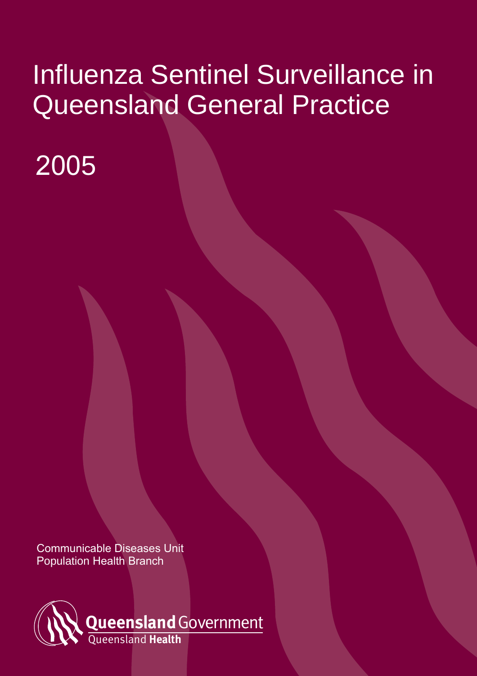# Influenza Sentinel Surveillance in Queensland General Practice

# 2005

Communicable Diseases Unit Population Health Branch

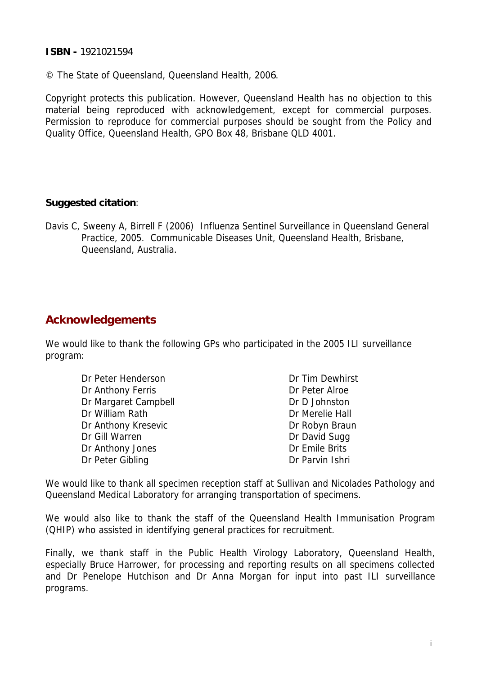#### **ISBN -** 1921021594

© The State of Queensland, Queensland Health, 2006.

Copyright protects this publication. However, Queensland Health has no objection to this material being reproduced with acknowledgement, except for commercial purposes. Permission to reproduce for commercial purposes should be sought from the Policy and Quality Office, Queensland Health, GPO Box 48, Brisbane QLD 4001.

#### **Suggested citation**:

Davis C, Sweeny A, Birrell F (2006) Influenza Sentinel Surveillance in Queensland General Practice, 2005. Communicable Diseases Unit, Queensland Health, Brisbane, Queensland, Australia.

## **Acknowledgements**

We would like to thank the following GPs who participated in the 2005 ILI surveillance program:

| Dr Peter Henderson   | Dr Tim Dewhirst |
|----------------------|-----------------|
| Dr Anthony Ferris    | Dr Peter Alroe  |
| Dr Margaret Campbell | Dr D Johnston   |
| Dr William Rath      | Dr Merelie Hall |
| Dr Anthony Kresevic  | Dr Robyn Braun  |
| Dr Gill Warren       | Dr David Sugg   |
| Dr Anthony Jones     | Dr Emile Brits  |
| Dr Peter Gibling     | Dr Parvin Ishri |

We would like to thank all specimen reception staff at Sullivan and Nicolades Pathology and Queensland Medical Laboratory for arranging transportation of specimens.

We would also like to thank the staff of the Queensland Health Immunisation Program (QHIP) who assisted in identifying general practices for recruitment.

Finally, we thank staff in the Public Health Virology Laboratory, Queensland Health, especially Bruce Harrower, for processing and reporting results on all specimens collected and Dr Penelope Hutchison and Dr Anna Morgan for input into past ILI surveillance programs.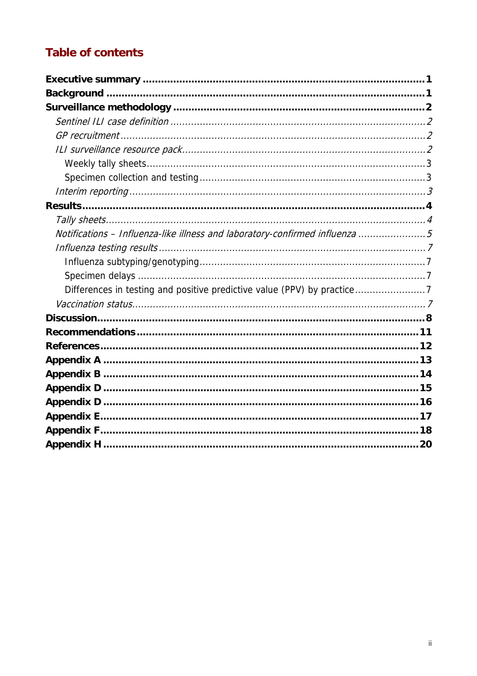## **Table of contents**

| Notifications - Influenza-like illness and laboratory-confirmed influenza 5 |
|-----------------------------------------------------------------------------|
|                                                                             |
|                                                                             |
|                                                                             |
| Differences in testing and positive predictive value (PPV) by practice7     |
|                                                                             |
|                                                                             |
|                                                                             |
|                                                                             |
|                                                                             |
|                                                                             |
|                                                                             |
|                                                                             |
|                                                                             |
|                                                                             |
|                                                                             |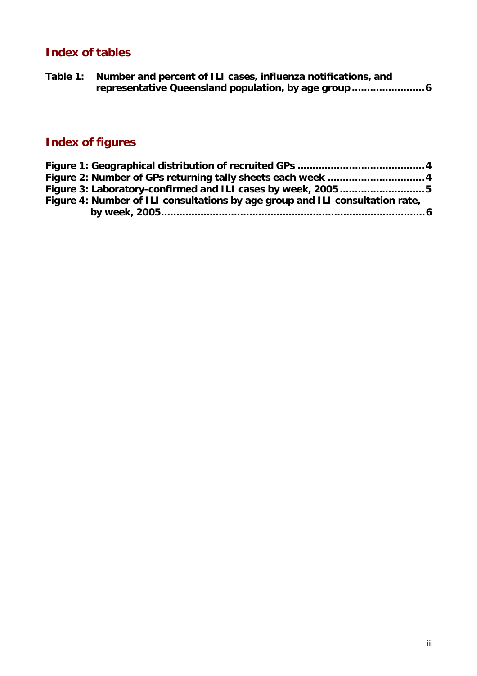## **Index of tables**

| Table 1: Number and percent of ILI cases, influenza notifications, and |
|------------------------------------------------------------------------|
|                                                                        |

# **Index of figures**

| Figure 3: Laboratory-confirmed and ILI cases by week, 20055                   |  |
|-------------------------------------------------------------------------------|--|
| Figure 4: Number of ILI consultations by age group and ILI consultation rate, |  |
|                                                                               |  |
|                                                                               |  |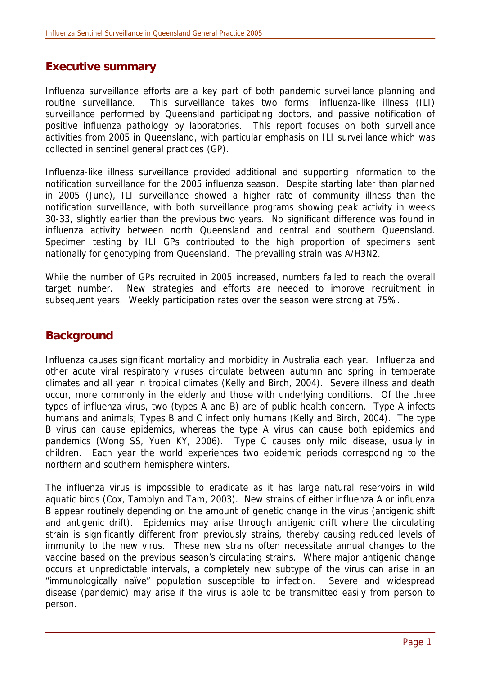## **Executive summary**

Influenza surveillance efforts are a key part of both pandemic surveillance planning and routine surveillance. This surveillance takes two forms: influenza-like illness (ILI) surveillance performed by Queensland participating doctors, and passive notification of positive influenza pathology by laboratories. This report focuses on both surveillance activities from 2005 in Queensland, with particular emphasis on ILI surveillance which was collected in sentinel general practices (GP).

Influenza-like illness surveillance provided additional and supporting information to the notification surveillance for the 2005 influenza season. Despite starting later than planned in 2005 (June), ILI surveillance showed a higher rate of community illness than the notification surveillance, with both surveillance programs showing peak activity in weeks 30-33, slightly earlier than the previous two years. No significant difference was found in influenza activity between north Queensland and central and southern Queensland. Specimen testing by ILI GPs contributed to the high proportion of specimens sent nationally for genotyping from Queensland. The prevailing strain was A/H3N2.

While the number of GPs recruited in 2005 increased, numbers failed to reach the overall target number. New strategies and efforts are needed to improve recruitment in subsequent years. Weekly participation rates over the season were strong at 75%.

## **Background**

Influenza causes significant mortality and morbidity in Australia each year. Influenza and other acute viral respiratory viruses circulate between autumn and spring in temperate climates and all year in tropical climates (Kelly and Birch, 2004). Severe illness and death occur, more commonly in the elderly and those with underlying conditions. Of the three types of influenza virus, two (types A and B) are of public health concern. Type A infects humans and animals; Types B and C infect only humans (Kelly and Birch, 2004). The type B virus can cause epidemics, whereas the type A virus can cause both epidemics and pandemics (Wong SS, Yuen KY, 2006). Type C causes only mild disease, usually in children. Each year the world experiences two epidemic periods corresponding to the northern and southern hemisphere winters.

The influenza virus is impossible to eradicate as it has large natural reservoirs in wild aquatic birds (Cox, Tamblyn and Tam, 2003). New strains of either influenza A or influenza B appear routinely depending on the amount of genetic change in the virus (antigenic shift and antigenic drift). Epidemics may arise through antigenic drift where the circulating strain is significantly different from previously strains, thereby causing reduced levels of immunity to the new virus. These new strains often necessitate annual changes to the vaccine based on the previous season's circulating strains. Where major antigenic change occurs at unpredictable intervals, a completely new subtype of the virus can arise in an "immunologically naïve" population susceptible to infection. Severe and widespread disease (pandemic) may arise if the virus is able to be transmitted easily from person to person.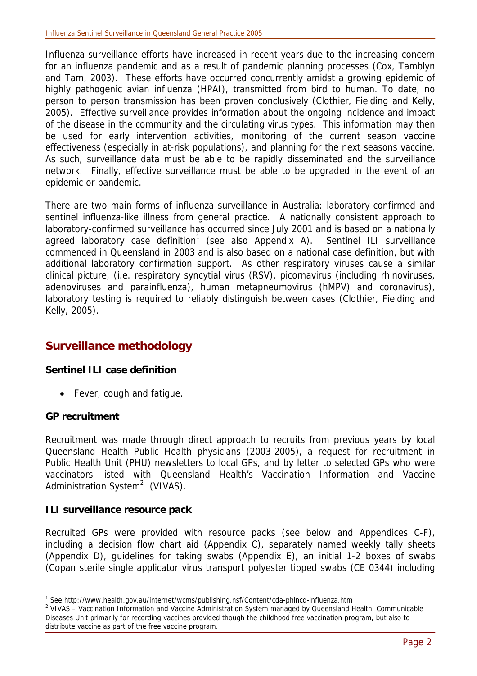Influenza surveillance efforts have increased in recent years due to the increasing concern for an influenza pandemic and as a result of pandemic planning processes (Cox, Tamblyn and Tam, 2003). These efforts have occurred concurrently amidst a growing epidemic of highly pathogenic avian influenza (HPAI), transmitted from bird to human. To date, no person to person transmission has been proven conclusively (Clothier, Fielding and Kelly, 2005). Effective surveillance provides information about the ongoing incidence and impact of the disease in the community and the circulating virus types. This information may then be used for early intervention activities, monitoring of the current season vaccine effectiveness (especially in at-risk populations), and planning for the next seasons vaccine. As such, surveillance data must be able to be rapidly disseminated and the surveillance network. Finally, effective surveillance must be able to be upgraded in the event of an epidemic or pandemic.

There are two main forms of influenza surveillance in Australia: laboratory-confirmed and sentinel influenza-like illness from general practice. A nationally consistent approach to laboratory-confirmed surveillance has occurred since July 2001 and is based on a nationally agreed laboratory case definition<sup>1</sup> (see also Appendix A). Sentinel ILI surveillance commenced in Queensland in 2003 and is also based on a national case definition, but with additional laboratory confirmation support. As other respiratory viruses cause a similar clinical picture, (i.e. respiratory syncytial virus (RSV), picornavirus (including rhinoviruses, adenoviruses and parainfluenza), human metapneumovirus (hMPV) and coronavirus), laboratory testing is required to reliably distinguish between cases (Clothier, Fielding and Kelly, 2005).

## **Surveillance methodology**

#### **Sentinel ILI case definition**

• Fever, cough and fatigue.

#### **GP recruitment**

Recruitment was made through direct approach to recruits from previous years by local Queensland Health Public Health physicians (2003-2005), a request for recruitment in Public Health Unit (PHU) newsletters to local GPs, and by letter to selected GPs who were vaccinators listed with Queensland Health's Vaccination Information and Vaccine Administration System<sup>2</sup> (VIVAS).

#### **ILI surveillance resource pack**

Recruited GPs were provided with resource packs (see below and Appendices C-F), including a decision flow chart aid (Appendix C), separately named weekly tally sheets (Appendix D), guidelines for taking swabs (Appendix E), an initial 1-2 boxes of swabs (Copan sterile single applicator virus transport polyester tipped swabs (CE 0344) including

<sup>1&</sup>lt;br>
1 See http://www.health.gov.au/internet/wcms/publishing.nsf/Content/cda-phlncd-influenza.htm<br>
<sup>2</sup> VIVAS - Vescination Information and Vescine Administration System managed by Queensland L

<sup>&</sup>lt;sup>2</sup> VIVAS – Vaccination Information and Vaccine Administration System managed by Queensland Health, Communicable Diseases Unit primarily for recording vaccines provided though the childhood free vaccination program, but also to distribute vaccine as part of the free vaccine program.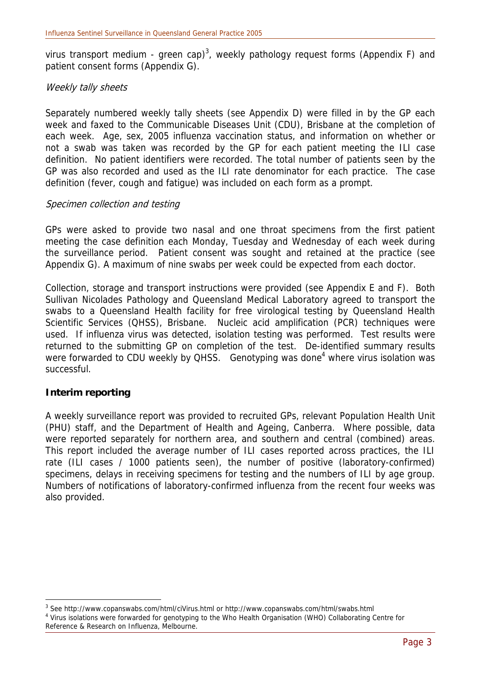virus transport medium - green cap)<sup>3</sup>, weekly pathology request forms (Appendix F) and patient consent forms (Appendix G).

#### Weekly tally sheets

Separately numbered weekly tally sheets (see Appendix D) were filled in by the GP each week and faxed to the Communicable Diseases Unit (CDU), Brisbane at the completion of each week. Age, sex, 2005 influenza vaccination status, and information on whether or not a swab was taken was recorded by the GP for each patient meeting the ILI case definition. No patient identifiers were recorded. The total number of patients seen by the GP was also recorded and used as the ILI rate denominator for each practice. The case definition (fever, cough and fatigue) was included on each form as a prompt.

#### Specimen collection and testing

GPs were asked to provide two nasal and one throat specimens from the first patient meeting the case definition each Monday, Tuesday and Wednesday of each week during the surveillance period. Patient consent was sought and retained at the practice (see Appendix G). A maximum of nine swabs per week could be expected from each doctor.

Collection, storage and transport instructions were provided (see Appendix E and F). Both Sullivan Nicolades Pathology and Queensland Medical Laboratory agreed to transport the swabs to a Queensland Health facility for free virological testing by Queensland Health Scientific Services (QHSS), Brisbane. Nucleic acid amplification (PCR) techniques were used. If influenza virus was detected, isolation testing was performed. Test results were returned to the submitting GP on completion of the test. De-identified summary results were forwarded to CDU weekly by QHSS. Genotyping was done<sup>4</sup> where virus isolation was successful.

#### **Interim reporting**

 $\overline{a}$ 

A weekly surveillance report was provided to recruited GPs, relevant Population Health Unit (PHU) staff, and the Department of Health and Ageing, Canberra. Where possible, data were reported separately for northern area, and southern and central (combined) areas. This report included the average number of ILI cases reported across practices, the ILI rate (ILI cases / 1000 patients seen), the number of positive (laboratory-confirmed) specimens, delays in receiving specimens for testing and the numbers of ILI by age group. Numbers of notifications of laboratory-confirmed influenza from the recent four weeks was also provided.

<sup>&</sup>lt;sup>3</sup> See http://www.copanswabs.com/html/ciVirus.html or http://www.copanswabs.com/html/swabs.html<br><sup>4</sup> Virus isolations were ferwarded for genetyning to the Who Heelth Organisation (MHO) Colleboration G <sup>4</sup> Virus isolations were forwarded for genotyping to the Who Health Organisation (WHO) Collaborating Centre for Reference & Research on Influenza, Melbourne.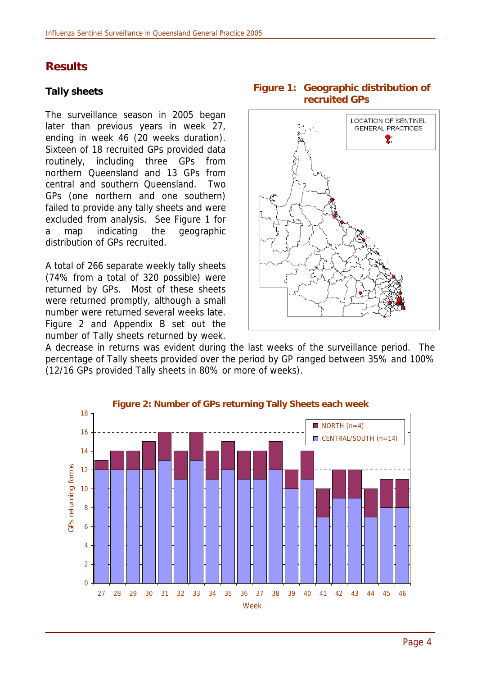## **Results**

#### **Tally sheets**

The surveillance season in 2005 began later than previous years in week 27, ending in week 46 (20 weeks duration). Sixteen of 18 recruited GPs provided data routinely, including three GPs from northern Queensland and 13 GPs from central and southern Queensland. Two GPs (one northern and one southern) failed to provide any tally sheets and were excluded from analysis. See Figure 1 for a map indicating the geographic distribution of GPs recruited.

A total of 266 separate weekly tally sheets (74% from a total of 320 possible) were returned by GPs. Most of these sheets were returned promptly, although a small number were returned several weeks late. Figure 2 and Appendix B set out the number of Tally sheets returned by week.



A decrease in returns was evident during the last weeks of the surveillance period. The percentage of Tally sheets provided over the period by GP ranged between 35% and 100% (12/16 GPs provided Tally sheets in 80% or more of weeks).



#### **Figure 1: Geographic distribution of recruited GPs**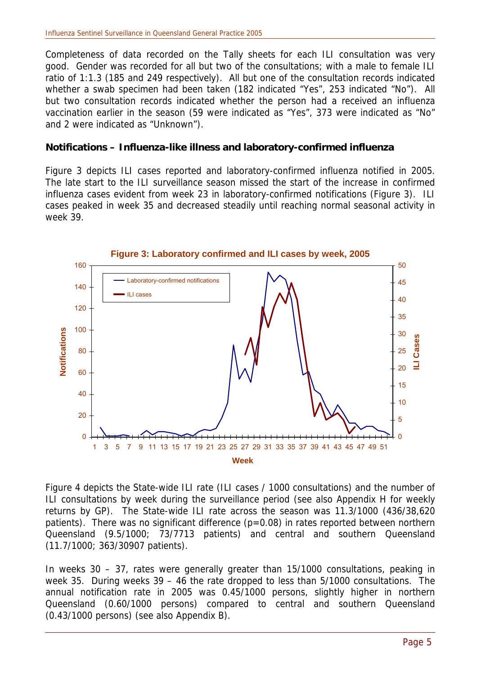Completeness of data recorded on the Tally sheets for each ILI consultation was very good. Gender was recorded for all but two of the consultations; with a male to female ILI ratio of 1:1.3 (185 and 249 respectively). All but one of the consultation records indicated whether a swab specimen had been taken (182 indicated "Yes", 253 indicated "No"). All but two consultation records indicated whether the person had a received an influenza vaccination earlier in the season (59 were indicated as "Yes", 373 were indicated as "No" and 2 were indicated as "Unknown").

#### **Notifications – Influenza-like illness and laboratory-confirmed influenza**

Figure 3 depicts ILI cases reported and laboratory-confirmed influenza notified in 2005. The late start to the ILI surveillance season missed the start of the increase in confirmed influenza cases evident from week 23 in laboratory-confirmed notifications (Figure 3). ILI cases peaked in week 35 and decreased steadily until reaching normal seasonal activity in week 39.



Figure 4 depicts the State-wide ILI rate (ILI cases / 1000 consultations) and the number of ILI consultations by week during the surveillance period (see also Appendix H for weekly returns by GP). The State-wide ILI rate across the season was 11.3/1000 (436/38,620 patients). There was no significant difference  $(p=0.08)$  in rates reported between northern Queensland (9.5/1000; 73/7713 patients) and central and southern Queensland (11.7/1000; 363/30907 patients).

In weeks 30 – 37, rates were generally greater than 15/1000 consultations, peaking in week 35. During weeks 39 – 46 the rate dropped to less than 5/1000 consultations. The annual notification rate in 2005 was 0.45/1000 persons, slightly higher in northern Queensland (0.60/1000 persons) compared to central and southern Queensland (0.43/1000 persons) (see also Appendix B).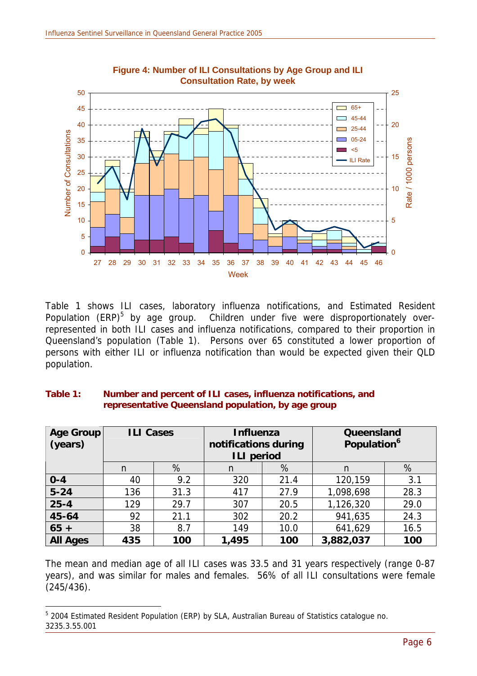

**Figure 4: Number of ILI Consultations by Age Group and ILI Consultation Rate, by week**

Table 1 shows ILI cases, laboratory influenza notifications, and Estimated Resident Population (ERP)<sup>5</sup> by age group. Children under five were disproportionately overrepresented in both ILI cases and influenza notifications, compared to their proportion in Queensland's population (Table 1). Persons over 65 constituted a lower proportion of persons with either ILI or influenza notification than would be expected given their QLD population.

#### **Table 1: Number and percent of ILI cases, influenza notifications, and representative Queensland population, by age group**

| Age Group<br>(years) | <b>ILI Cases</b> |      | <b>Influenza</b><br>notifications during<br><b>ILI period</b> |      | Queensland<br><b>Population</b> <sup>6</sup> |      |  |  |
|----------------------|------------------|------|---------------------------------------------------------------|------|----------------------------------------------|------|--|--|
|                      | n                | %    | n                                                             | %    | n                                            | %    |  |  |
| $0 - 4$              | 40               | 9.2  | 320                                                           | 21.4 | 120,159                                      | 3.1  |  |  |
| $5 - 24$             | 136              | 31.3 | 417                                                           | 27.9 | 1,098,698                                    | 28.3 |  |  |
| $25 - 4$             | 129              | 29.7 | 20.5<br>307                                                   |      | 1,126,320                                    | 29.0 |  |  |
| 45-64                | 92<br>21.1       |      | 302                                                           | 20.2 | 941,635                                      | 24.3 |  |  |
| $65 +$               | 38               | 8.7  | 149                                                           | 10.0 | 16.5<br>641,629                              |      |  |  |
| <b>All Ages</b>      | 435              | 100  | 1,495                                                         | 100  | 3,882,037                                    | 100  |  |  |

The mean and median age of all ILI cases was 33.5 and 31 years respectively (range 0-87 years), and was similar for males and females. 56% of all ILI consultations were female (245/436).

 $\overline{a}$ 

<sup>&</sup>lt;sup>5</sup> 2004 Estimated Resident Population (ERP) by SLA, Australian Bureau of Statistics catalogue no. 3235.3.55.001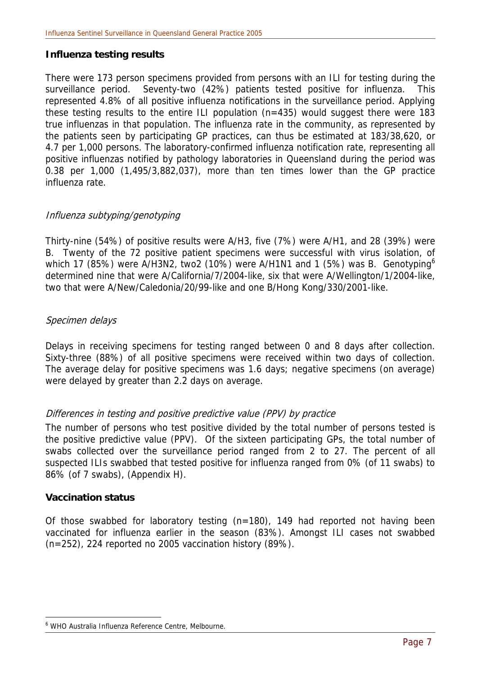#### **Influenza testing results**

There were 173 person specimens provided from persons with an ILI for testing during the surveillance period. Seventy-two (42%) patients tested positive for influenza. This represented 4.8% of all positive influenza notifications in the surveillance period. Applying these testing results to the entire ILI population (n=435) would suggest there were 183 true influenzas in that population. The influenza rate in the community, as represented by the patients seen by participating GP practices, can thus be estimated at 183/38,620, or 4.7 per 1,000 persons. The laboratory-confirmed influenza notification rate, representing all positive influenzas notified by pathology laboratories in Queensland during the period was 0.38 per 1,000 (1,495/3,882,037), more than ten times lower than the GP practice influenza rate.

#### Influenza subtyping/genotyping

Thirty-nine (54%) of positive results were A/H3, five (7%) were A/H1, and 28 (39%) were B. Twenty of the 72 positive patient specimens were successful with virus isolation, of which 17 (85%) were A/H3N2, two2 (10%) were A/H1N1 and 1 (5%) was B. Genotyping<sup>6</sup> determined nine that were A/California/7/2004-like, six that were A/Wellington/1/2004-like, two that were A/New/Caledonia/20/99-like and one B/Hong Kong/330/2001-like.

#### Specimen delays

Delays in receiving specimens for testing ranged between 0 and 8 days after collection. Sixty-three (88%) of all positive specimens were received within two days of collection. The average delay for positive specimens was 1.6 days; negative specimens (on average) were delayed by greater than 2.2 days on average.

#### Differences in testing and positive predictive value (PPV) by practice

The number of persons who test positive divided by the total number of persons tested is the positive predictive value (PPV). Of the sixteen participating GPs, the total number of swabs collected over the surveillance period ranged from 2 to 27. The percent of all suspected ILIs swabbed that tested positive for influenza ranged from 0% (of 11 swabs) to 86% (of 7 swabs), (Appendix H).

#### **Vaccination status**

 $\overline{a}$ 

Of those swabbed for laboratory testing (n=180), 149 had reported not having been vaccinated for influenza earlier in the season (83%). Amongst ILI cases not swabbed (n=252), 224 reported no 2005 vaccination history (89%).

<sup>6</sup> WHO Australia Influenza Reference Centre, Melbourne.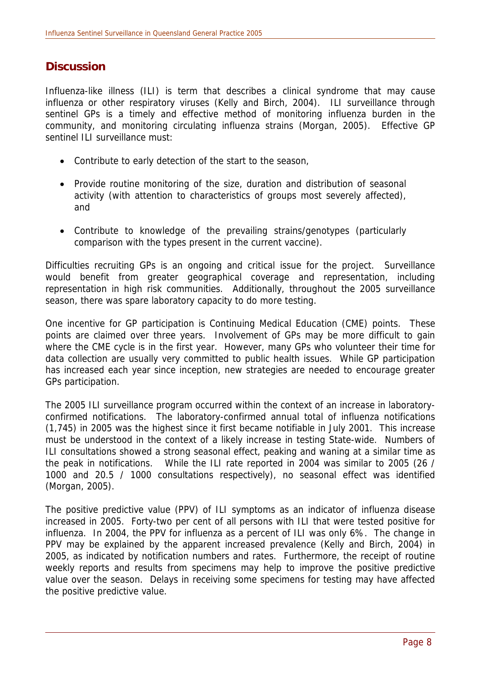### **Discussion**

Influenza-like illness (ILI) is term that describes a clinical syndrome that may cause influenza or other respiratory viruses (Kelly and Birch, 2004). ILI surveillance through sentinel GPs is a timely and effective method of monitoring influenza burden in the community, and monitoring circulating influenza strains (Morgan, 2005). Effective GP sentinel II I surveillance must:

- Contribute to early detection of the start to the season,
- Provide routine monitoring of the size, duration and distribution of seasonal activity (with attention to characteristics of groups most severely affected), and
- Contribute to knowledge of the prevailing strains/genotypes (particularly comparison with the types present in the current vaccine).

Difficulties recruiting GPs is an ongoing and critical issue for the project. Surveillance would benefit from greater geographical coverage and representation, including representation in high risk communities. Additionally, throughout the 2005 surveillance season, there was spare laboratory capacity to do more testing.

One incentive for GP participation is Continuing Medical Education (CME) points. These points are claimed over three years. Involvement of GPs may be more difficult to gain where the CME cycle is in the first year. However, many GPs who volunteer their time for data collection are usually very committed to public health issues. While GP participation has increased each year since inception, new strategies are needed to encourage greater GPs participation.

The 2005 ILI surveillance program occurred within the context of an increase in laboratoryconfirmed notifications. The laboratory-confirmed annual total of influenza notifications (1,745) in 2005 was the highest since it first became notifiable in July 2001. This increase must be understood in the context of a likely increase in testing State-wide. Numbers of ILI consultations showed a strong seasonal effect, peaking and waning at a similar time as the peak in notifications. While the ILI rate reported in 2004 was similar to 2005 (26 / 1000 and 20.5 / 1000 consultations respectively), no seasonal effect was identified (Morgan, 2005).

The positive predictive value (PPV) of ILI symptoms as an indicator of influenza disease increased in 2005. Forty-two per cent of all persons with ILI that were tested positive for influenza. In 2004, the PPV for influenza as a percent of ILI was only 6%. The change in PPV may be explained by the apparent increased prevalence (Kelly and Birch, 2004) in 2005, as indicated by notification numbers and rates. Furthermore, the receipt of routine weekly reports and results from specimens may help to improve the positive predictive value over the season. Delays in receiving some specimens for testing may have affected the positive predictive value.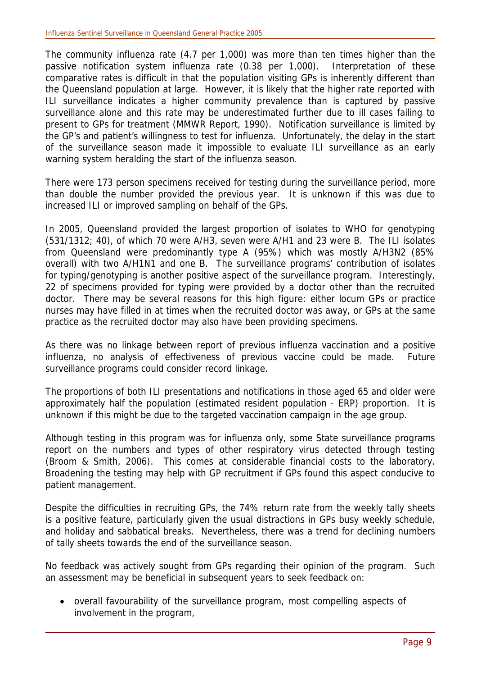The community influenza rate (4.7 per 1,000) was more than ten times higher than the passive notification system influenza rate (0.38 per 1,000). Interpretation of these comparative rates is difficult in that the population visiting GPs is inherently different than the Queensland population at large. However, it is likely that the higher rate reported with ILI surveillance indicates a higher community prevalence than is captured by passive surveillance alone and this rate may be underestimated further due to ill cases failing to present to GPs for treatment (MMWR Report, 1990). Notification surveillance is limited by the GP's and patient's willingness to test for influenza. Unfortunately, the delay in the start of the surveillance season made it impossible to evaluate ILI surveillance as an early warning system heralding the start of the influenza season.

There were 173 person specimens received for testing during the surveillance period, more than double the number provided the previous year. It is unknown if this was due to increased ILI or improved sampling on behalf of the GPs.

In 2005, Queensland provided the largest proportion of isolates to WHO for genotyping (531/1312; 40), of which 70 were A/H3, seven were A/H1 and 23 were B. The ILI isolates from Queensland were predominantly type A (95%) which was mostly A/H3N2 (85% overall) with two A/H1N1 and one B. The surveillance programs' contribution of isolates for typing/genotyping is another positive aspect of the surveillance program. Interestingly, 22 of specimens provided for typing were provided by a doctor other than the recruited doctor. There may be several reasons for this high figure: either locum GPs or practice nurses may have filled in at times when the recruited doctor was away, or GPs at the same practice as the recruited doctor may also have been providing specimens.

As there was no linkage between report of previous influenza vaccination and a positive influenza, no analysis of effectiveness of previous vaccine could be made. Future surveillance programs could consider record linkage.

The proportions of both ILI presentations and notifications in those aged 65 and older were approximately half the population (estimated resident population - ERP) proportion. It is unknown if this might be due to the targeted vaccination campaign in the age group.

Although testing in this program was for influenza only, some State surveillance programs report on the numbers and types of other respiratory virus detected through testing (Broom & Smith, 2006). This comes at considerable financial costs to the laboratory. Broadening the testing may help with GP recruitment if GPs found this aspect conducive to patient management.

Despite the difficulties in recruiting GPs, the 74% return rate from the weekly tally sheets is a positive feature, particularly given the usual distractions in GPs busy weekly schedule, and holiday and sabbatical breaks. Nevertheless, there was a trend for declining numbers of tally sheets towards the end of the surveillance season.

No feedback was actively sought from GPs regarding their opinion of the program. Such an assessment may be beneficial in subsequent years to seek feedback on:

• overall favourability of the surveillance program, most compelling aspects of involvement in the program,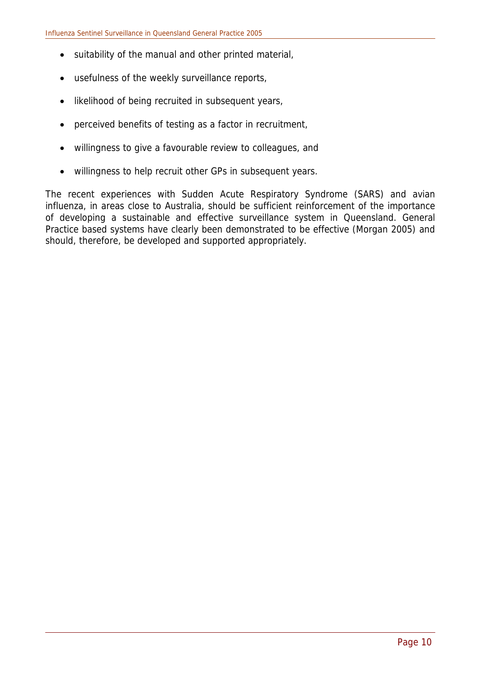- suitability of the manual and other printed material,
- usefulness of the weekly surveillance reports,
- likelihood of being recruited in subsequent years,
- perceived benefits of testing as a factor in recruitment,
- willingness to give a favourable review to colleagues, and
- willingness to help recruit other GPs in subsequent years.

The recent experiences with Sudden Acute Respiratory Syndrome (SARS) and avian influenza, in areas close to Australia, should be sufficient reinforcement of the importance of developing a sustainable and effective surveillance system in Queensland. General Practice based systems have clearly been demonstrated to be effective (Morgan 2005) and should, therefore, be developed and supported appropriately.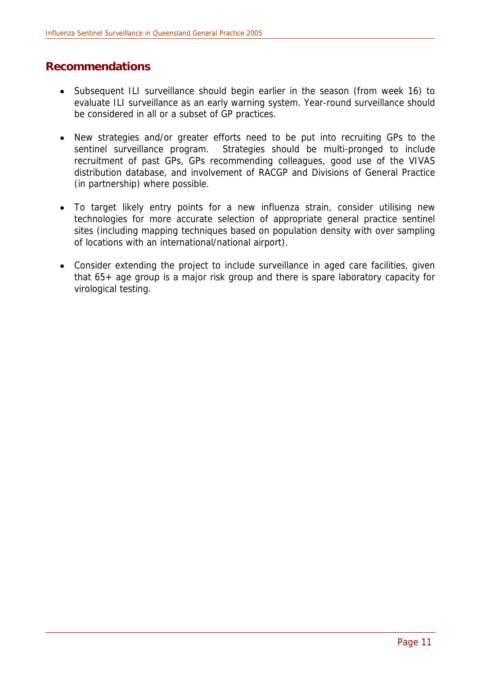## **Recommendations**

- Subsequent ILI surveillance should begin earlier in the season (from week 16) to evaluate ILI surveillance as an early warning system. Year-round surveillance should be considered in all or a subset of GP practices.
- New strategies and/or greater efforts need to be put into recruiting GPs to the sentinel surveillance program. Strategies should be multi-pronged to include recruitment of past GPs, GPs recommending colleagues, good use of the VIVAS distribution database, and involvement of RACGP and Divisions of General Practice (in partnership) where possible.
- To target likely entry points for a new influenza strain, consider utilising new technologies for more accurate selection of appropriate general practice sentinel sites (including mapping techniques based on population density with over sampling of locations with an international/national airport).
- Consider extending the project to include surveillance in aged care facilities, given that 65+ age group is a major risk group and there is spare laboratory capacity for virological testing.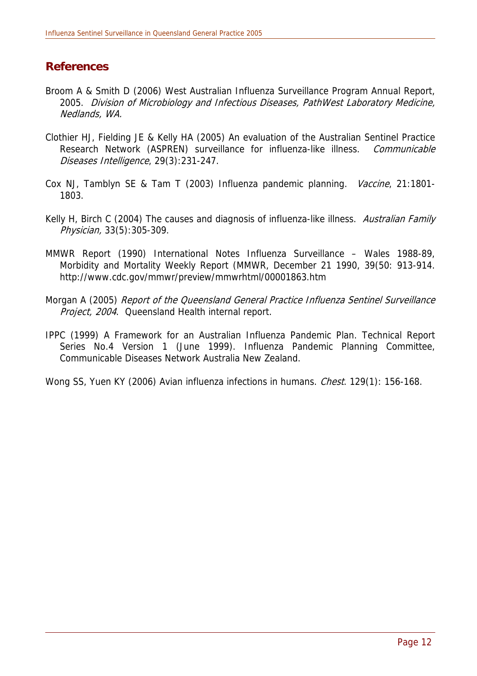## **References**

- Broom A & Smith D (2006) West Australian Influenza Surveillance Program Annual Report, 2005. Division of Microbiology and Infectious Diseases, PathWest Laboratory Medicine, Nedlands, WA.
- Clothier HJ, Fielding JE & Kelly HA (2005) An evaluation of the Australian Sentinel Practice Research Network (ASPREN) surveillance for influenza-like illness. Communicable Diseases Intelligence, 29(3):231-247.
- Cox NJ, Tamblyn SE & Tam T (2003) Influenza pandemic planning. Vaccine, 21:1801-1803.
- Kelly H, Birch C (2004) The causes and diagnosis of influenza-like illness. Australian Family Physician, 33(5):305-309.
- MMWR Report (1990) International Notes Influenza Surveillance Wales 1988-89, Morbidity and Mortality Weekly Report (MMWR, December 21 1990, 39(50: 913-914. http://www.cdc.gov/mmwr/preview/mmwrhtml/00001863.htm
- Morgan A (2005) Report of the Queensland General Practice Influenza Sentinel Surveillance Project, 2004. Queensland Health internal report.
- IPPC (1999) A Framework for an Australian Influenza Pandemic Plan. Technical Report Series No.4 Version 1 (June 1999). Influenza Pandemic Planning Committee, Communicable Diseases Network Australia New Zealand.

Wong SS, Yuen KY (2006) Avian influenza infections in humans. *Chest*. 129(1): 156-168.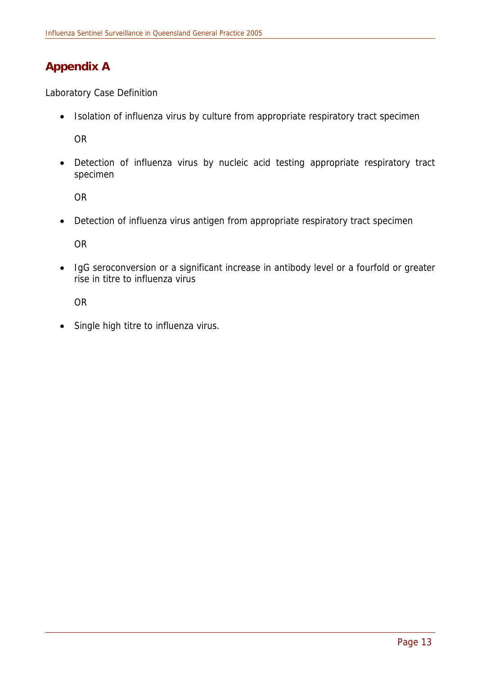## **Appendix A**

Laboratory Case Definition

• Isolation of influenza virus by culture from appropriate respiratory tract specimen

OR

• Detection of influenza virus by nucleic acid testing appropriate respiratory tract specimen

OR

• Detection of influenza virus antigen from appropriate respiratory tract specimen

OR

• IgG seroconversion or a significant increase in antibody level or a fourfold or greater rise in titre to influenza virus

OR

• Single high titre to influenza virus.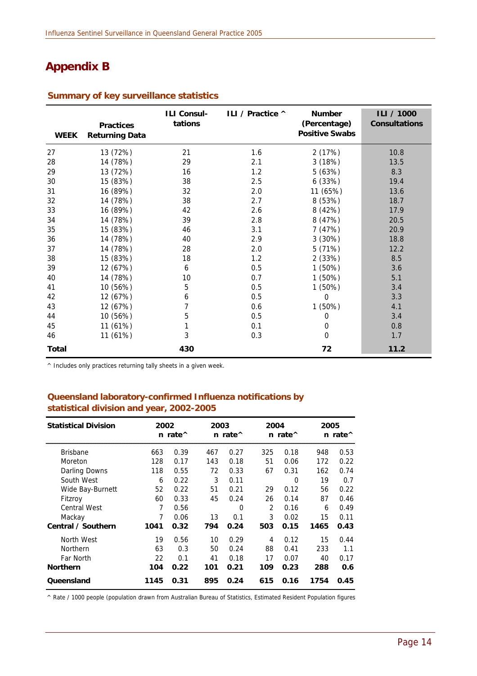## **Appendix B**

| <b>WEEK</b>  | <b>Practices</b><br><b>Returning Data</b> | <b>ILI Consul-</b><br>tations | ILI / Practice ^ | <b>Number</b><br>(Percentage)<br><b>Positive Swabs</b> | ILI / 1000<br><b>Consultations</b> |
|--------------|-------------------------------------------|-------------------------------|------------------|--------------------------------------------------------|------------------------------------|
| 27           | 13 (72%)                                  | 21                            | 1.6              | 2 (17%)                                                | 10.8                               |
| 28           | 14 (78%)                                  | 29                            | 2.1              | 3(18%)                                                 | 13.5                               |
| 29           | 13 (72%)                                  | 16                            | 1.2              | 5 (63%)                                                | 8.3                                |
| 30           | 15 (83%)                                  | 38                            | 2.5              | 6(33%)                                                 | 19.4                               |
| 31           | 16 (89%)                                  | 32                            | 2.0              | 11 (65%)                                               | 13.6                               |
| 32           | 14 (78%)                                  | 38                            | 2.7              | 8 (53%)                                                | 18.7                               |
| 33           | 16 (89%)                                  | 42                            | 2.6              | 8 (42%)                                                | 17.9                               |
| 34           | 14 (78%)                                  | 39                            | 2.8              | 8 (47%)                                                | 20.5                               |
| 35           | 15 (83%)                                  | 46                            | 3.1              | 7(47%)                                                 | 20.9                               |
| 36           | 14 (78%)                                  | 40                            | 2.9              | 3 (30%)                                                | 18.8                               |
| 37           | 14 (78%)                                  | 28                            | 2.0              | 5 (71%)                                                | 12.2                               |
| 38           | 15 (83%)                                  | 18                            | 1.2              | 2 (33%)                                                | 8.5                                |
| 39           | 12 (67%)                                  | 6                             | 0.5              | 1(50%)                                                 | 3.6                                |
| 40           | 14 (78%)                                  | 10                            | 0.7              | 1 (50%)                                                | 5.1                                |
| 41           | 10 (56%)                                  | 5                             | 0.5              | 1 (50%)                                                | 3.4                                |
| 42           | 12 (67%)                                  | 6                             | 0.5              | 0                                                      | 3.3                                |
| 43           | 12 (67%)                                  |                               | 0.6              | 1 (50%)                                                | 4.1                                |
| 44           | 10 (56%)                                  | 5                             | 0.5              | 0                                                      | 3.4                                |
| 45           | 11 (61%)                                  |                               | 0.1              | 0                                                      | 0.8                                |
| 46           | 11 (61%)                                  | 3                             | 0.3              | $\Omega$                                               | 1.7                                |
| <b>Total</b> |                                           | 430                           |                  | 72                                                     | 11.2                               |

#### **Summary of key surveillance statistics**

^ Includes only practices returning tally sheets in a given week.

#### **Queensland laboratory-confirmed Influenza notifications by statistical division and year, 2002-2005**

| <b>Statistical Division</b> | 2002 | n rate^ | 2003 | $n$ rate $\wedge$ | 2004 | n rate $\wedge$ | 2005<br>n rate $\wedge$ |      |  |
|-----------------------------|------|---------|------|-------------------|------|-----------------|-------------------------|------|--|
| <b>Brisbane</b>             | 663  | 0.39    | 467  | 0.27              | 325  | 0.18            | 948                     | 0.53 |  |
| Moreton                     | 128  | 0.17    | 143  | 0.18              | 51   | 0.06            | 172                     | 0.22 |  |
| <b>Darling Downs</b>        | 118  | 0.55    | 72   | 0.33              | 67   | 0.31            | 162                     | 0.74 |  |
| South West                  | 6    | 0.22    | 3    | 0.11              |      | 0               | 19                      | 0.7  |  |
| Wide Bay-Burnett            | 52   | 0.22    | 51   | 0.21              | 29   | 0.12            | 56                      | 0.22 |  |
| Fitzroy                     | 60   | 0.33    | 45   | 0.24              | 26   | 0.14            | 87                      | 0.46 |  |
| <b>Central West</b>         | 7    | 0.56    |      | 0                 | 2    | 0.16            | 6                       | 0.49 |  |
| Mackay                      | 7    | 0.06    | 13   | 0.1               | 3    | 0.02            | 15                      | 0.11 |  |
| Central / Southern          | 1041 | 0.32    | 794  | 0.24              | 503  | 0.15            | 1465                    | 0.43 |  |
| North West                  | 19   | 0.56    | 10   | 0.29              | 4    | 0.12            | 15                      | 0.44 |  |
| Northern                    | 63   | 0.3     | 50   | 0.24              | 88   | 0.41            | 233                     | 1.1  |  |
| Far North                   | 22   | 0.1     | 41   | 0.18              | 17   | 0.07            | 40                      | 0.17 |  |
| <b>Northern</b>             | 104  | 0.22    | 101  | 0.21              | 109  | 0.23            | 288                     | 0.6  |  |
| Queensland                  | 1145 | 0.31    | 895  | 0.24              | 615  | 0.16            | 1754                    | 0.45 |  |

^ Rate / 1000 people (population drawn from Australian Bureau of Statistics, Estimated Resident Population figures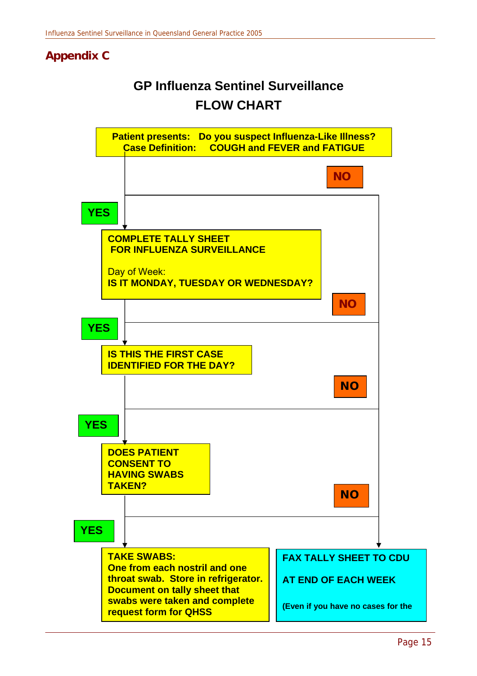## **Appendix C**

# **GP Influenza Sentinel Surveillance FLOW CHART**

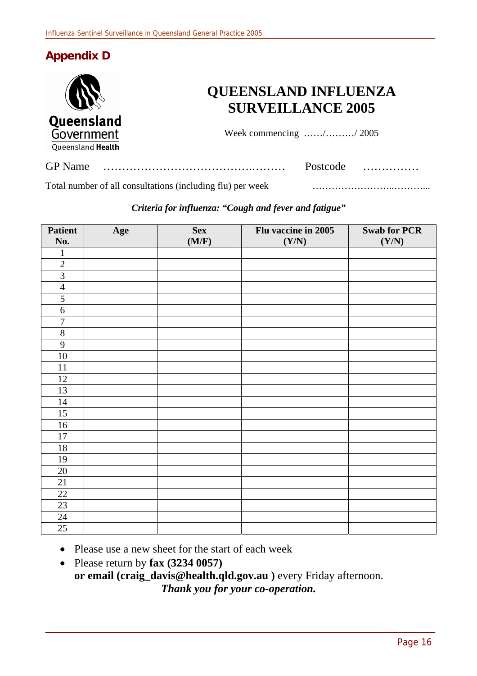## **Appendix D**



Total number of all consultations (including flu) per week ……………………..………...

#### *Criteria for influenza: "Cough and fever and fatigue"*

| <b>Patient</b> | Age | <b>Sex</b> | Flu vaccine in 2005 | <b>Swab for PCR</b> |
|----------------|-----|------------|---------------------|---------------------|
| No.            |     | (M/F)      | (Y/N)               | (Y/N)               |
| $\mathbf{1}$   |     |            |                     |                     |
| $\overline{2}$ |     |            |                     |                     |
| $\overline{3}$ |     |            |                     |                     |
| $\overline{4}$ |     |            |                     |                     |
| $\overline{5}$ |     |            |                     |                     |
| $\overline{6}$ |     |            |                     |                     |
| $\overline{7}$ |     |            |                     |                     |
| $8\,$          |     |            |                     |                     |
| $\overline{9}$ |     |            |                     |                     |
| $10\,$         |     |            |                     |                     |
| 11             |     |            |                     |                     |
| 12             |     |            |                     |                     |
| 13             |     |            |                     |                     |
| 14             |     |            |                     |                     |
| 15             |     |            |                     |                     |
| 16             |     |            |                     |                     |
| 17             |     |            |                     |                     |
| $18\,$         |     |            |                     |                     |
| 19             |     |            |                     |                     |
| 20             |     |            |                     |                     |
| $21\,$         |     |            |                     |                     |
| 22             |     |            |                     |                     |
| 23             |     |            |                     |                     |
| $24\,$         |     |            |                     |                     |
| 25             |     |            |                     |                     |

• Please use a new sheet for the start of each week

• Please return by **fax (3234 0057) or email (craig\_davis@health.qld.gov.au )** every Friday afternoon. *Thank you for your co-operation.*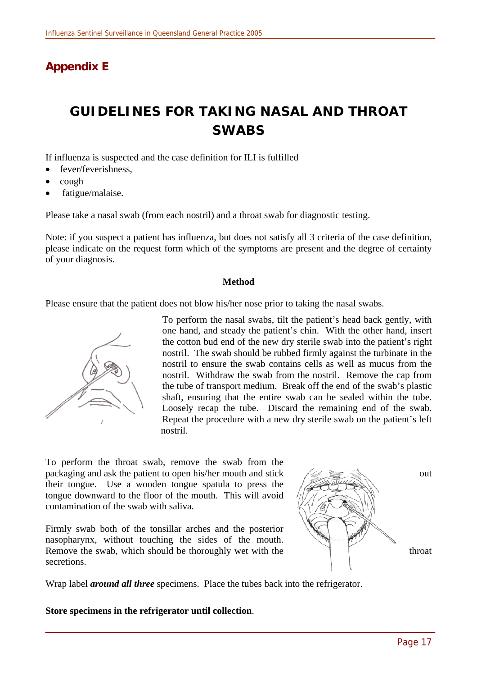## **Appendix E**

# **GUIDELINES FOR TAKING NASAL AND THROAT SWABS**

If influenza is suspected and the case definition for ILI is fulfilled

- fever/feverishness,
- cough
- fatigue/malaise.

Please take a nasal swab (from each nostril) and a throat swab for diagnostic testing.

Note: if you suspect a patient has influenza, but does not satisfy all 3 criteria of the case definition, please indicate on the request form which of the symptoms are present and the degree of certainty of your diagnosis.

#### **Method**

Please ensure that the patient does not blow his/her nose prior to taking the nasal swabs.



To perform the nasal swabs, tilt the patient's head back gently, with one hand, and steady the patient's chin. With the other hand, insert the cotton bud end of the new dry sterile swab into the patient's right nostril. The swab should be rubbed firmly against the turbinate in the nostril to ensure the swab contains cells as well as mucus from the nostril. Withdraw the swab from the nostril. Remove the cap from the tube of transport medium. Break off the end of the swab's plastic shaft, ensuring that the entire swab can be sealed within the tube. Loosely recap the tube. Discard the remaining end of the swab. Repeat the procedure with a new dry sterile swab on the patient's left nostril.

To perform the throat swab, remove the swab from the packaging and ask the patient to open his/her mouth and stick out out their tongue. Use a wooden tongue spatula to press the tongue downward to the floor of the mouth. This will avoid contamination of the swab with saliva.

Firmly swab both of the tonsillar arches and the posterior nasopharynx, without touching the sides of the mouth. Remove the swab, which should be thoroughly wet with the throat secretions.



Wrap label *around all three* specimens. Place the tubes back into the refrigerator.

**Store specimens in the refrigerator until collection**.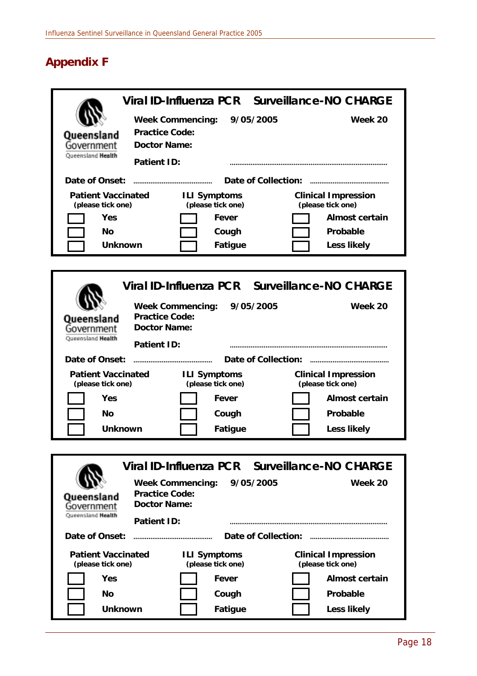# **Appendix F**

|                                                | Viral ID-Influenza PCR Surveillance-NO CHARGE                 |                                                 |  |  |  |  |  |  |  |
|------------------------------------------------|---------------------------------------------------------------|-------------------------------------------------|--|--|--|--|--|--|--|
| Queensland                                     | <b>Week Commencing:</b><br>9/05/2005<br><b>Practice Code:</b> | Week 20                                         |  |  |  |  |  |  |  |
| Government<br>Queensland Health                | <b>Doctor Name:</b>                                           |                                                 |  |  |  |  |  |  |  |
|                                                | <b>Patient ID:</b>                                            |                                                 |  |  |  |  |  |  |  |
| Date of Onset:                                 | Date of Collection:                                           |                                                 |  |  |  |  |  |  |  |
| <b>Patient Vaccinated</b>                      | <b>ILI Symptoms</b>                                           | <b>Clinical Impression</b>                      |  |  |  |  |  |  |  |
| (please tick one)<br><b>Yes</b>                | (please tick one)<br><b>Fever</b>                             | (please tick one)<br><b>Almost certain</b>      |  |  |  |  |  |  |  |
| No                                             | Cough                                                         | <b>Probable</b>                                 |  |  |  |  |  |  |  |
| <b>Unknown</b>                                 | <b>Fatigue</b>                                                | <b>Less likely</b>                              |  |  |  |  |  |  |  |
|                                                |                                                               |                                                 |  |  |  |  |  |  |  |
|                                                | Viral ID-Influenza PCR Surveillance-NO CHARGE                 |                                                 |  |  |  |  |  |  |  |
|                                                | <b>Week Commencing:</b><br>9/05/2005                          | Week 20                                         |  |  |  |  |  |  |  |
| Queensland<br>Government                       | <b>Practice Code:</b><br><b>Doctor Name:</b>                  |                                                 |  |  |  |  |  |  |  |
| Queensland <b>Health</b>                       | <b>Patient ID:</b>                                            |                                                 |  |  |  |  |  |  |  |
| Date of Onset:                                 | <b>Date of Collection:</b>                                    |                                                 |  |  |  |  |  |  |  |
| <b>Patient Vaccinated</b><br>(please tick one) | <b>ILI Symptoms</b><br>(please tick one)                      | <b>Clinical Impression</b><br>(please tick one) |  |  |  |  |  |  |  |
| Yes                                            | <b>Fever</b>                                                  | <b>Almost certain</b>                           |  |  |  |  |  |  |  |
| No                                             | Cough                                                         | Probable                                        |  |  |  |  |  |  |  |
| <b>Unknown</b>                                 | <b>Fatigue</b>                                                | <b>Less likely</b>                              |  |  |  |  |  |  |  |
|                                                |                                                               |                                                 |  |  |  |  |  |  |  |
|                                                | Viral ID-Influenza PCR Surveillance-NO CHARGE                 |                                                 |  |  |  |  |  |  |  |
|                                                | 9/05/2005<br><b>Week Commencing:</b>                          | Week 20                                         |  |  |  |  |  |  |  |
| <b>Queensland</b><br>Government                | <b>Practice Code:</b><br><b>Doctor Name:</b>                  |                                                 |  |  |  |  |  |  |  |
| Queensland <b>Health</b>                       | <b>Patient ID:</b>                                            |                                                 |  |  |  |  |  |  |  |
| Date of Onset:                                 | <b>Date of Collection:</b>                                    |                                                 |  |  |  |  |  |  |  |
| <b>Patient Vaccinated</b><br>(please tick one) | <b>ILI Symptoms</b><br>(please tick one)                      | <b>Clinical Impression</b><br>(please tick one) |  |  |  |  |  |  |  |
| <b>Yes</b>                                     | Fever                                                         | <b>Almost certain</b>                           |  |  |  |  |  |  |  |
| No                                             | Cough                                                         | <b>Probable</b>                                 |  |  |  |  |  |  |  |
| <b>Unknown</b>                                 | <b>Fatigue</b>                                                | <b>Less likely</b>                              |  |  |  |  |  |  |  |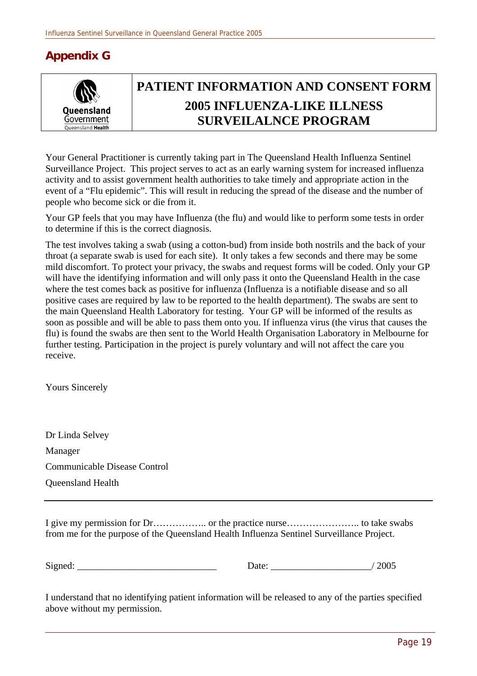## **Appendix G**



# **PATIENT INFORMATION AND CONSENT FORM 2005 INFLUENZA-LIKE ILLNESS SURVEILALNCE PROGRAM**

Your General Practitioner is currently taking part in The Queensland Health Influenza Sentinel Surveillance Project. This project serves to act as an early warning system for increased influenza activity and to assist government health authorities to take timely and appropriate action in the event of a "Flu epidemic". This will result in reducing the spread of the disease and the number of people who become sick or die from it.

Your GP feels that you may have Influenza (the flu) and would like to perform some tests in order to determine if this is the correct diagnosis.

The test involves taking a swab (using a cotton-bud) from inside both nostrils and the back of your throat (a separate swab is used for each site). It only takes a few seconds and there may be some mild discomfort. To protect your privacy, the swabs and request forms will be coded. Only your GP will have the identifying information and will only pass it onto the Queensland Health in the case where the test comes back as positive for influenza (Influenza is a notifiable disease and so all positive cases are required by law to be reported to the health department). The swabs are sent to the main Queensland Health Laboratory for testing. Your GP will be informed of the results as soon as possible and will be able to pass them onto you. If influenza virus (the virus that causes the flu) is found the swabs are then sent to the World Health Organisation Laboratory in Melbourne for further testing. Participation in the project is purely voluntary and will not affect the care you receive.

Yours Sincerely

Dr Linda Selvey Manager Communicable Disease Control Queensland Health

I give my permission for Dr…………….. or the practice nurse………………….. to take swabs from me for the purpose of the Queensland Health Influenza Sentinel Surveillance Project.

Signed: 2005

I understand that no identifying patient information will be released to any of the parties specified above without my permission.